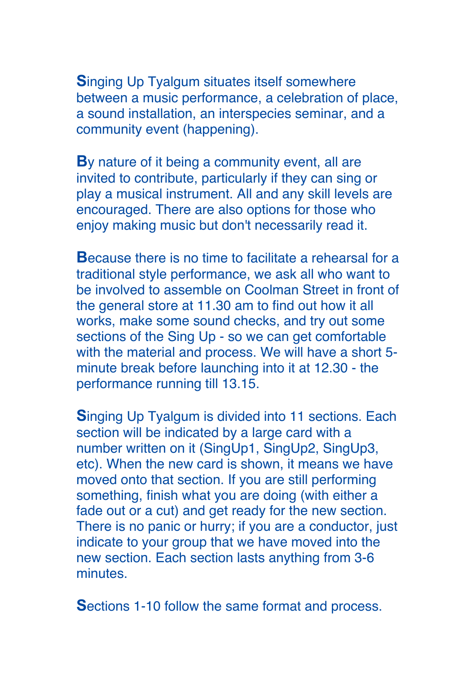**S**inging Up Tyalgum situates itself somewhere between a music performance, a celebration of place, a sound installation, an interspecies seminar, and a community event (happening).

**B**y nature of it being a community event, all are invited to contribute, particularly if they can sing or play a musical instrument. All and any skill levels are encouraged. There are also options for those who enjoy making music but don't necessarily read it.

**B**ecause there is no time to facilitate a rehearsal for a traditional style performance, we ask all who want to be involved to assemble on Coolman Street in front of the general store at 11.30 am to find out how it all works, make some sound checks, and try out some sections of the Sing Up - so we can get comfortable with the material and process. We will have a short 5 minute break before launching into it at 12.30 - the performance running till 13.15.

**S**inging Up Tyalgum is divided into 11 sections. Each section will be indicated by a large card with a number written on it (SingUp1, SingUp2, SingUp3, etc). When the new card is shown, it means we have moved onto that section. If you are still performing something, finish what you are doing (with either a fade out or a cut) and get ready for the new section. There is no panic or hurry; if you are a conductor, just indicate to your group that we have moved into the new section. Each section lasts anything from 3-6 minutes.

**S**ections 1-10 follow the same format and process.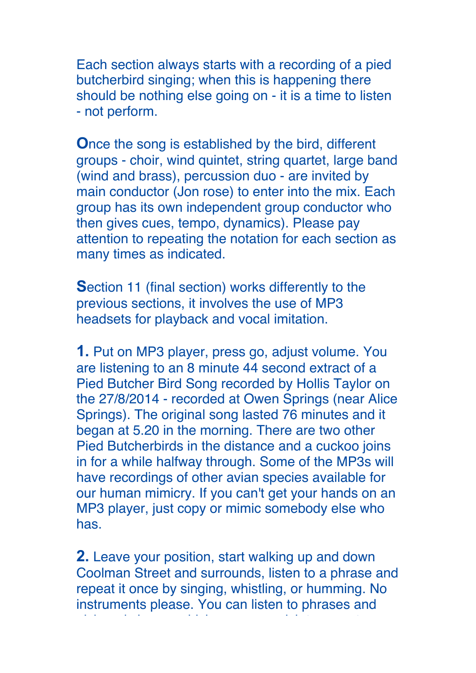Each section always starts with a recording of a pied butcherbird singing; when this is happening there should be nothing else going on - it is a time to listen - not perform.

**O**nce the song is established by the bird, different groups - choir, wind quintet, string quartet, large band (wind and brass), percussion duo - are invited by main conductor (Jon rose) to enter into the mix. Each group has its own independent group conductor who then gives cues, tempo, dynamics). Please pay attention to repeating the notation for each section as many times as indicated.

**S**ection 11 (final section) works differently to the previous sections, it involves the use of MP3 headsets for playback and vocal imitation.

**1.** Put on MP3 player, press go, adjust volume. You are listening to an 8 minute 44 second extract of a Pied Butcher Bird Song recorded by Hollis Taylor on the 27/8/2014 - recorded at Owen Springs (near Alice Springs). The original song lasted 76 minutes and it began at 5.20 in the morning. There are two other Pied Butcherbirds in the distance and a cuckoo joins in for a while halfway through. Some of the MP3s will have recordings of other avian species available for our human mimicry. If you can't get your hands on an MP3 player, just copy or mimic somebody else who has.

**2.** Leave your position, start walking up and down Coolman Street and surrounds, listen to a phrase and repeat it once by singing, whistling, or humming. No instruments please. You can listen to phrases and

pick and choose which ones you wish to repeat or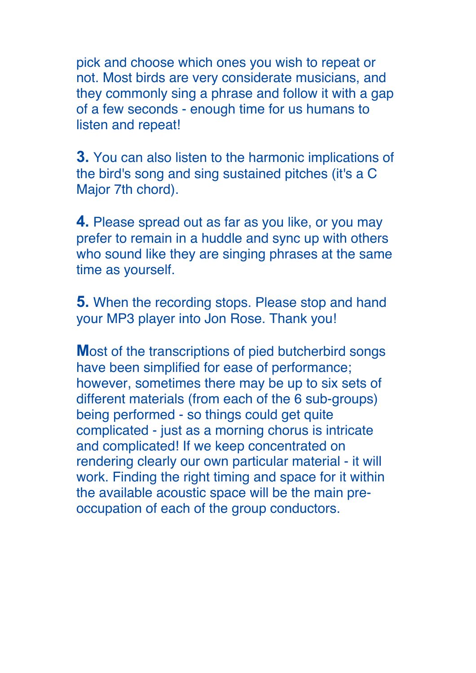pick and choose which ones you wish to repeat or not. Most birds are very considerate musicians, and they commonly sing a phrase and follow it with a gap of a few seconds - enough time for us humans to listen and repeat!

**3.** You can also listen to the harmonic implications of the bird's song and sing sustained pitches (it's a C Major 7th chord).

**4.** Please spread out as far as you like, or you may prefer to remain in a huddle and sync up with others who sound like they are singing phrases at the same time as yourself.

**5.** When the recording stops. Please stop and hand your MP3 player into Jon Rose. Thank you!

**M**ost of the transcriptions of pied butcherbird songs have been simplified for ease of performance; however, sometimes there may be up to six sets of different materials (from each of the 6 sub-groups) being performed - so things could get quite complicated - just as a morning chorus is intricate and complicated! If we keep concentrated on rendering clearly our own particular material - it will work. Finding the right timing and space for it within the available acoustic space will be the main preoccupation of each of the group conductors.